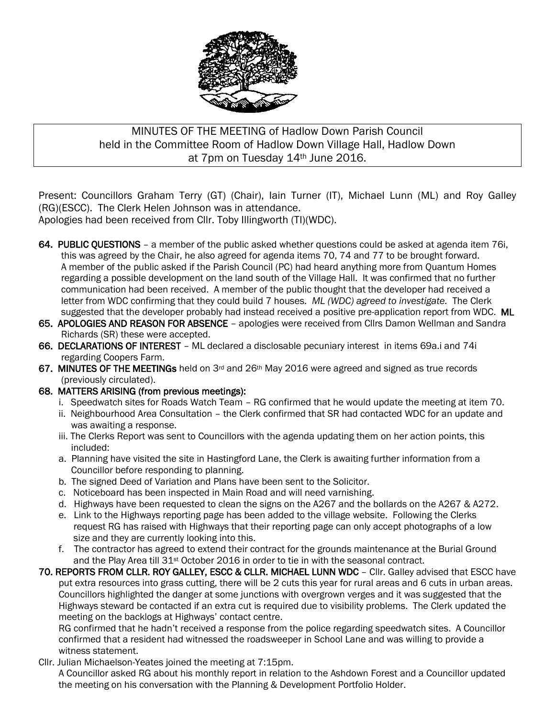

# MINUTES OF THE MEETING of Hadlow Down Parish Council held in the Committee Room of Hadlow Down Village Hall, Hadlow Down at 7pm on Tuesday 14th June 2016.

Present: Councillors Graham Terry (GT) (Chair), Iain Turner (IT), Michael Lunn (ML) and Roy Galley (RG)(ESCC). The Clerk Helen Johnson was in attendance.

Apologies had been received from Cllr. Toby Illingworth (TI)(WDC).

- 64. PUBLIC QUESTIONS a member of the public asked whether questions could be asked at agenda item 76i, this was agreed by the Chair, he also agreed for agenda items 70, 74 and 77 to be brought forward. A member of the public asked if the Parish Council (PC) had heard anything more from Quantum Homes regarding a possible development on the land south of the Village Hall. It was confirmed that no further communication had been received. A member of the public thought that the developer had received a letter from WDC confirming that they could build 7 houses. *ML (WDC) agreed to investigate.* The Clerk suggested that the developer probably had instead received a positive pre-application report from WDC. ML
- 65. APOLOGIES AND REASON FOR ABSENCE apologies were received from Cllrs Damon Wellman and Sandra Richards (SR) these were accepted.
- 66. DECLARATIONS OF INTEREST ML declared a disclosable pecuniary interest in items 69a.i and 74i regarding Coopers Farm.
- 67. MINUTES OF THE MEETINGs held on 3rd and 26th May 2016 were agreed and signed as true records (previously circulated).
- 68. MATTERS ARISING (from previous meetings):
	- i. Speedwatch sites for Roads Watch Team RG confirmed that he would update the meeting at item 70.
	- ii. Neighbourhood Area Consultation the Clerk confirmed that SR had contacted WDC for an update and was awaiting a response.
	- iii. The Clerks Report was sent to Councillors with the agenda updating them on her action points, this included:
	- a. Planning have visited the site in Hastingford Lane, the Clerk is awaiting further information from a Councillor before responding to planning.
	- b. The signed Deed of Variation and Plans have been sent to the Solicitor.
	- c. Noticeboard has been inspected in Main Road and will need varnishing.
	- d. Highways have been requested to clean the signs on the A267 and the bollards on the A267 & A272.
	- e. Link to the Highways reporting page has been added to the village website. Following the Clerks request RG has raised with Highways that their reporting page can only accept photographs of a low size and they are currently looking into this.
	- f. The contractor has agreed to extend their contract for the grounds maintenance at the Burial Ground and the Play Area till 31<sup>st</sup> October 2016 in order to tie in with the seasonal contract.
- 70. REPORTS FROM CLLR. ROY GALLEY, ESCC & CLLR. MICHAEL LUNN WDC Cllr. Galley advised that ESCC have put extra resources into grass cutting, there will be 2 cuts this year for rural areas and 6 cuts in urban areas. Councillors highlighted the danger at some junctions with overgrown verges and it was suggested that the Highways steward be contacted if an extra cut is required due to visibility problems. The Clerk updated the meeting on the backlogs at Highways' contact centre.

 RG confirmed that he hadn't received a response from the police regarding speedwatch sites. A Councillor confirmed that a resident had witnessed the roadsweeper in School Lane and was willing to provide a witness statement.

Cllr. Julian Michaelson-Yeates joined the meeting at 7:15pm.

 A Councillor asked RG about his monthly report in relation to the Ashdown Forest and a Councillor updated the meeting on his conversation with the Planning & Development Portfolio Holder.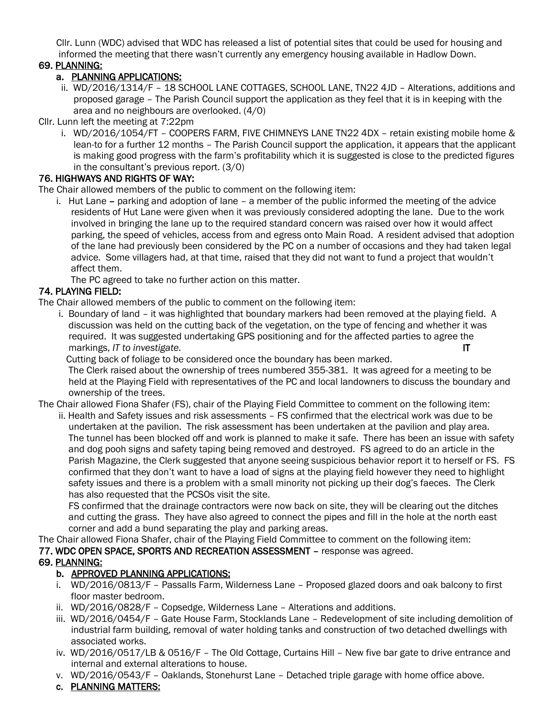Cllr. Lunn (WDC) advised that WDC has released a list of potential sites that could be used for housing and informed the meeting that there wasn't currently any emergency housing available in Hadlow Down.

#### 69. PLANNING:

#### a. PLANNING APPLICATIONS:

 ii. WD/2016/1314/F – 18 SCHOOL LANE COTTAGES, SCHOOL LANE, TN22 4JD – Alterations, additions and proposed garage – The Parish Council support the application as they feel that it is in keeping with the area and no neighbours are overlooked. (4/0)

Cllr. Lunn left the meeting at 7:22pm

 i. WD/2016/1054/FT – COOPERS FARM, FIVE CHIMNEYS LANE TN22 4DX – retain existing mobile home & lean-to for a further 12 months – The Parish Council support the application, it appears that the applicant is making good progress with the farm's profitability which it is suggested is close to the predicted figures in the consultant's previous report. (3/0)

## 76. HIGHWAYS AND RIGHTS OF WAY:

The Chair allowed members of the public to comment on the following item:

 i. Hut Lane – parking and adoption of lane – a member of the public informed the meeting of the advice residents of Hut Lane were given when it was previously considered adopting the lane. Due to the work involved in bringing the lane up to the required standard concern was raised over how it would affect parking, the speed of vehicles, access from and egress onto Main Road. A resident advised that adoption of the lane had previously been considered by the PC on a number of occasions and they had taken legal advice. Some villagers had, at that time, raised that they did not want to fund a project that wouldn't affect them.

The PC agreed to take no further action on this matter.

## 74. PLAYING FIELD:

The Chair allowed members of the public to comment on the following item:

 i. Boundary of land – it was highlighted that boundary markers had been removed at the playing field. A discussion was held on the cutting back of the vegetation, on the type of fencing and whether it was required. It was suggested undertaking GPS positioning and for the affected parties to agree the markings, *IT to investigate.* IT

Cutting back of foliage to be considered once the boundary has been marked.

 The Clerk raised about the ownership of trees numbered 355-381. It was agreed for a meeting to be held at the Playing Field with representatives of the PC and local landowners to discuss the boundary and ownership of the trees.

The Chair allowed Fiona Shafer (FS), chair of the Playing Field Committee to comment on the following item:

 ii. Health and Safety issues and risk assessments – FS confirmed that the electrical work was due to be undertaken at the pavilion. The risk assessment has been undertaken at the pavilion and play area. The tunnel has been blocked off and work is planned to make it safe. There has been an issue with safety and dog pooh signs and safety taping being removed and destroyed. FS agreed to do an article in the Parish Magazine, the Clerk suggested that anyone seeing suspicious behavior report it to herself or FS. FS confirmed that they don't want to have a load of signs at the playing field however they need to highlight safety issues and there is a problem with a small minority not picking up their dog's faeces. The Clerk has also requested that the PCSOs visit the site.

 FS confirmed that the drainage contractors were now back on site, they will be clearing out the ditches and cutting the grass. They have also agreed to connect the pipes and fill in the hole at the north east corner and add a bund separating the play and parking areas.

The Chair allowed Fiona Shafer, chair of the Playing Field Committee to comment on the following item: 77. WDC OPEN SPACE, SPORTS AND RECREATION ASSESSMENT – response was agreed.

# 69. PLANNING:

# b. APPROVED PLANNING APPLICATIONS:

- i. WD/2016/0813/F Passalls Farm, Wilderness Lane Proposed glazed doors and oak balcony to first floor master bedroom.
- ii. WD/2016/0828/F Copsedge, Wilderness Lane Alterations and additions.
- iii. WD/2016/0454/F Gate House Farm, Stocklands Lane Redevelopment of site including demolition of industrial farm building, removal of water holding tanks and construction of two detached dwellings with associated works.
- iv. WD/2016/0517/LB & 0516/F The Old Cottage, Curtains Hill New five bar gate to drive entrance and internal and external alterations to house.
- v. WD/2016/0543/F Oaklands, Stonehurst Lane Detached triple garage with home office above.
- c. PLANNING MATTERS: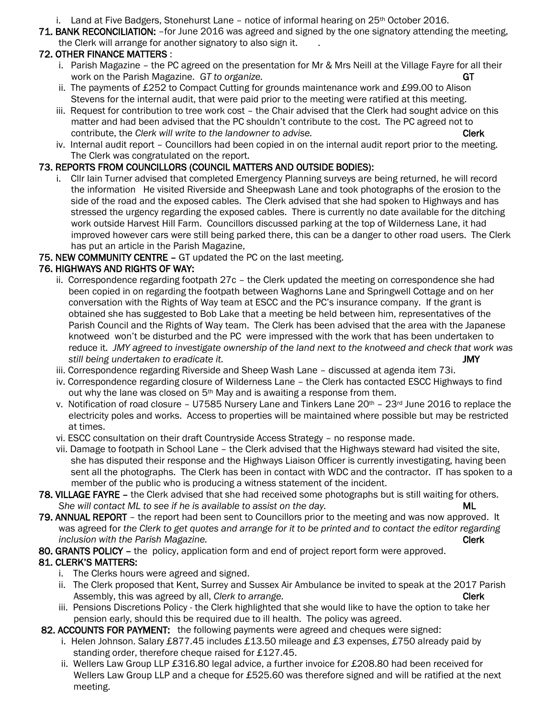i. Land at Five Badgers, Stonehurst Lane – notice of informal hearing on  $25<sup>th</sup>$  October 2016.

71. BANK RECONCILIATION: –for June 2016 was agreed and signed by the one signatory attending the meeting, the Clerk will arrange for another signatory to also sign it. .

# 72. OTHER FINANCE MATTERS :

- i. Parish Magazine the PC agreed on the presentation for Mr & Mrs Neill at the Village Fayre for all their work on the Parish Magazine. *GT to organize.* GT to the same of the same of the GT or  $GT$
- ii. The payments of £252 to Compact Cutting for grounds maintenance work and £99.00 to Alison Stevens for the internal audit, that were paid prior to the meeting were ratified at this meeting.
- iii. Request for contribution to tree work cost the Chair advised that the Clerk had sought advice on this matter and had been advised that the PC shouldn't contribute to the cost. The PC agreed not to contribute, the *Clerk will write to the landowner to advise.* The contribute of the *Clerk*
- iv. Internal audit report Councillors had been copied in on the internal audit report prior to the meeting. The Clerk was congratulated on the report.

## 73. REPORTS FROM COUNCILLORS (COUNCIL MATTERS AND OUTSIDE BODIES):

 i. Cllr Iain Turner advised that completed Emergency Planning surveys are being returned, he will record the information He visited Riverside and Sheepwash Lane and took photographs of the erosion to the side of the road and the exposed cables. The Clerk advised that she had spoken to Highways and has stressed the urgency regarding the exposed cables. There is currently no date available for the ditching work outside Harvest Hill Farm. Councillors discussed parking at the top of Wilderness Lane, it had improved however cars were still being parked there, this can be a danger to other road users. The Clerk has put an article in the Parish Magazine,

## 75. NEW COMMUNITY CENTRE – GT updated the PC on the last meeting.

## 76. HIGHWAYS AND RIGHTS OF WAY:

- ii. Correspondence regarding footpath 27c the Clerk updated the meeting on correspondence she had been copied in on regarding the footpath between Waghorns Lane and Springwell Cottage and on her conversation with the Rights of Way team at ESCC and the PC's insurance company. If the grant is obtained she has suggested to Bob Lake that a meeting be held between him, representatives of the Parish Council and the Rights of Way team. The Clerk has been advised that the area with the Japanese knotweed won't be disturbed and the PC were impressed with the work that has been undertaken to reduce it. *JMY agreed to investigate ownership of the land next to the knotweed and check that work was still being undertaken to eradicate it.* JMY
- iii. Correspondence regarding Riverside and Sheep Wash Lane discussed at agenda item 73i.
- iv. Correspondence regarding closure of Wilderness Lane the Clerk has contacted ESCC Highways to find out why the lane was closed on 5<sup>th</sup> May and is awaiting a response from them.
- v. Notification of road closure U7585 Nursery Lane and Tinkers Lane  $20^{th}$   $23^{rd}$  June 2016 to replace the electricity poles and works. Access to properties will be maintained where possible but may be restricted at times.
- vi. ESCC consultation on their draft Countryside Access Strategy no response made.
- vii. Damage to footpath in School Lane the Clerk advised that the Highways steward had visited the site, she has disputed their response and the Highways Liaison Officer is currently investigating, having been sent all the photographs. The Clerk has been in contact with WDC and the contractor. IT has spoken to a member of the public who is producing a witness statement of the incident.
- 78. VILLAGE FAYRE the Clerk advised that she had received some photographs but is still waiting for others.  *She will contact ML to see if he is available to assist on the day.* ML
- 79. ANNUAL REPORT the report had been sent to Councillors prior to the meeting and was now approved. It was agreed for *the Clerk to get quotes and arrange for it to be printed and to contact the editor regarding inclusion with the Parish Magazine.* Clerk
- 80. GRANTS POLICY the policy, application form and end of project report form were approved.

# 81. CLERK'S MATTERS:

- i. The Clerks hours were agreed and signed.
- ii. The Clerk proposed that Kent, Surrey and Sussex Air Ambulance be invited to speak at the 2017 Parish Assembly, this was agreed by all, *Clerk to arrange.* Clerk contract the clerk clerk
- iii. Pensions Discretions Policy the Clerk highlighted that she would like to have the option to take her pension early, should this be required due to ill health. The policy was agreed.

#### 82. ACCOUNTS FOR PAYMENT: the following payments were agreed and cheques were signed:

- i. Helen Johnson. Salary £877.45 includes £13.50 mileage and £3 expenses, £750 already paid by standing order, therefore cheque raised for £127.45.
- ii. Wellers Law Group LLP £316.80 legal advice, a further invoice for £208.80 had been received for Wellers Law Group LLP and a cheque for £525.60 was therefore signed and will be ratified at the next meeting.